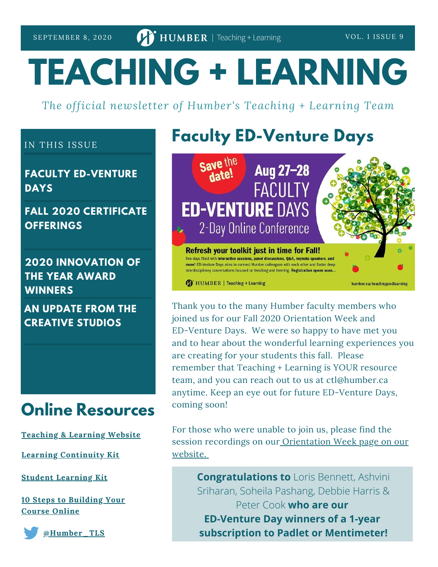# **TEACHING + LEARNING**

*The official newsletter of Humber's Teaching + Learning Team*

#### IN THIS ISSUE

**FACULTY ED-VENTURE DAYS**

**FALL 2020 CERTIFICATE OFFERINGS**

**2020 INNOVATION OF THE YEAR AWARD WINNERS**

**AN UPDATE FROM THE CREATIVE STUDIOS**

### **Online Resources**

**[Teaching](https://humber.ca/teachingandlearning/) & Learning Website**

**Learning [Continuity](https://sites.google.com/view/learningcontinuitykit/home) Kit**

**Student [Learning](https://sites.google.com/view/studentlearningkit) Kit**

**10 Steps to [Building](https://view.genial.ly/5e8ce13874dd8c0e246ef382) Your Course Online**



**[@Humber\\_TLS](https://twitter.com/Humber_TLS)**

### **Faculty ED-Venture Days**



Thank you to the many Humber faculty members who joined us for our Fall 2020 Orientation Week and ED-Venture Days. We were so happy to have met you and to hear about the wonderful learning experiences you are creating for your students this fall. Please remember that Teaching + Learning is YOUR resource team, and you can reach out to us at ctl@humber.ca anytime. Keep an eye out for future ED-Venture Days, coming soon!

For those who were unable to join us, please find the session recordings on our [Orientation](https://humber.ca/teachingandlearning/orientation-week/#reveal-1) Week page on our website.

**Congratulations to** Loris Bennett, Ashvini Sriharan, Soheila Pashang, Debbie Harris & Peter Cook **who are our ED-Venture Day winners of a 1-year subscription to Padlet or Mentimeter!**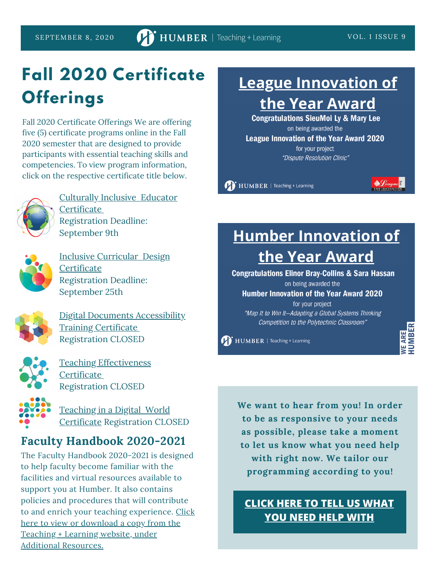# **Fall 2020 Certificate Offerings**

Fall 2020 Certificate Offerings We are offering five (5) certificate programs online in the Fall 2020 semester that are designed to provide participants with essential teaching skills and competencies. To view program information, click on the respective certificate title below.



Culturally Inclusive Educator **[Certificate](https://humber.ca/teachingandlearning/wp-content/uploads/2020/07/CIEC_Fall2020.pdf)** Registration Deadline: September 9th



Inclusive Curricular Design **[Certificate](https://humber.ca/teachingandlearning/wp-content/uploads/2020/08/ICDC_Fall2020.pdf)** Registration Deadline: September 25th



Digital Documents [Accessibility](https://humber.ca/teachingandlearning/wp-content/uploads/2020/08/DDAT_Fall2020.pdf) Training Certificate Registration CLOSED



Teaching [Effectiveness](https://humber.ca/teachingandlearning/wp-content/uploads/2020/07/TEC_Fall2020.pdf) **[Certificate](https://humber.ca/teachingandlearning/wp-content/uploads/2020/07/TEC_Fall2020.pdf)** Registration CLOSED

Teaching in a Digital World Certificate [Registration](https://humber.ca/teachingandlearning/wp-content/uploads/2020/08/TDWC_Fall2020.pdf) CLOSED

### **Faculty Handbook 2020-2021**

The Faculty Handbook 2020-2021 is designed to help faculty become familiar with the facilities and virtual resources available to support you at Humber. It also contains policies and procedures that will contribute to and enrich your teaching [experience.](https://humber.ca/teachingandlearning/wp-content/uploads/2020/08/Faculty-Handbook-2020-2021.pdf) Click here to view or download a copy from the Teaching + Learning website, under Additional Resources.

### **[League Innovation of](https://humber.ca/staff/announcement/2020-league-innovation-year-winner) the Year Award**

**Congratulations SieuMoi Ly & Mary Lee** on being awarded the **League Innovation of the Year Award 2020** for your project "Dispute Resolution Clinic"

HUMBER | Teaching + Learning



### **[Humber Innovation of](https://humber.ca/staff/announcement/2020-humber-innovation-year-winner) the Year Award**

**Congratulations Elinor Bray-Collins & Sara Hassan** on being awarded the

**Humber Innovation of the Year Award 2020** 

for your project "Map It to Win It-Adapting a Global Systems Thinking Competition to the Polytechnic Classroom"

HUMBER | Teaching + Learning

**E ARE<br>UMBER** 

**We want to hear from you! In order to be as responsive to your needs as possible, please take a moment to let us know what you need help with right now. We tailor our programming according to you!**

### **CLICK HERE TO TELL US [WHAT](https://forms.office.com/Pages/ResponsePage.aspx?id=HweSykLzx0CDhWmXpgUmzHV8J_SgUY9OuwXhM-meoV9UNkxVTktOMU8zRzZFWlY3TDVFVzZRSVhRVi4u) YOU NEED HELP WITH**